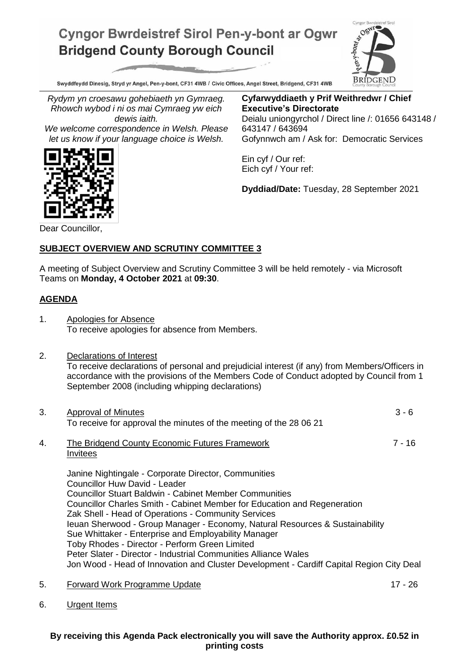## **Cyngor Bwrdeistref Sirol Pen-y-bont ar Ogwr Bridgend County Borough Council**



Swyddfeydd Dinesig, Stryd yr Angel, Pen-y-bont, CF31 4WB / Civic Offices, Angel Street, Bridgend, CF31 4WB

*Rydym yn croesawu gohebiaeth yn Gymraeg. Rhowch wybod i ni os mai Cymraeg yw eich dewis iaith.*

*We welcome correspondence in Welsh. Please let us know if your language choice is Welsh.*

**Cyfarwyddiaeth y Prif Weithredwr / Chief Executive's Directorate** Deialu uniongyrchol / Direct line /: 01656 643148 / 643147 / 643694 Gofynnwch am / Ask for: Democratic Services

Ein cyf / Our ref: Eich cyf / Your ref:

**Dyddiad/Date:** Tuesday, 28 September 2021

Dear Councillor,

## **SUBJECT OVERVIEW AND SCRUTINY COMMITTEE 3**

A meeting of Subject Overview and Scrutiny Committee 3 will be held remotely - via Microsoft Teams on **Monday, 4 October 2021** at **09:30**.

## **AGENDA**

- 1. Apologies for Absence To receive apologies for absence from Members.
- 2. Declarations of Interest To receive declarations of personal and prejudicial interest (if any) from Members/Officers in accordance with the provisions of the Members Code of Conduct adopted by Council from 1 September 2008 (including whipping declarations)
- 3. Approval of Minutes 3 6 To receive for approval the minutes of the meeting of the 28 06 21 4. The Bridgend County Economic Futures Framework 7 - 16 **Invitees** Janine Nightingale - Corporate Director, Communities Councillor Huw David - Leader Councillor Stuart Baldwin - Cabinet Member Communities Councillor Charles Smith - Cabinet Member for Education and Regeneration Zak Shell - Head of Operations - Community Services Ieuan Sherwood - Group Manager - Economy, Natural Resources & Sustainability Sue Whittaker - Enterprise and Employability Manager Toby Rhodes - Director - Perform Green Limited Peter Slater - Director - Industrial Communities Alliance Wales Jon Wood - Head of Innovation and Cluster Development - Cardiff Capital Region City Deal
- 5. Forward Work Programme Update 17 26
- 

6. Urgent Items